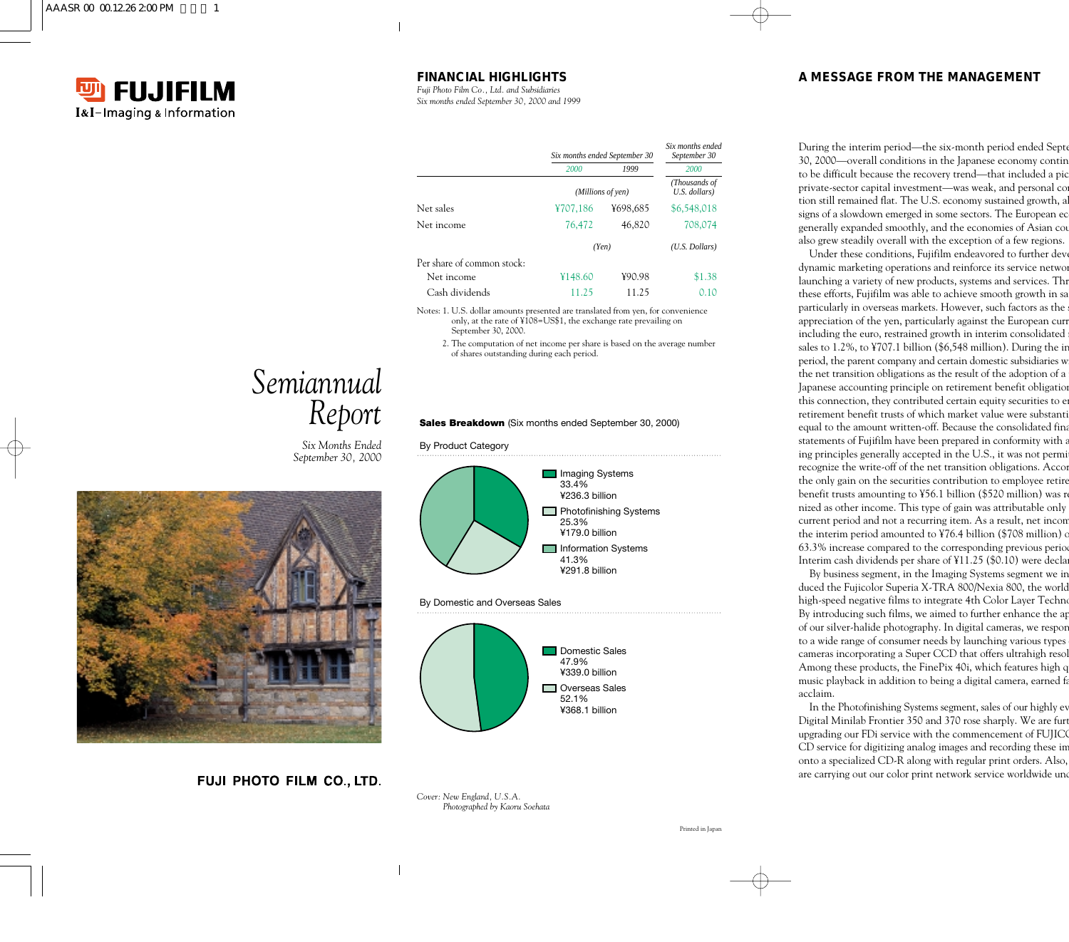

# **FINANCIAL HIGHLIGHTS**

*Fuji Photo Film Co., Ltd. and Subsidiaries Six months ended September 30, 2000 and 1999*

|                            | Six months ended September 30 |          | Six months ended<br>September 30 |
|----------------------------|-------------------------------|----------|----------------------------------|
|                            | 2000                          | 1999     | 2000                             |
|                            | (Millions of yen)             |          | (Thousands of<br>U.S. dollars)   |
| Net sales                  | ¥707,186                      | ¥698,685 | \$6,548,018                      |
| Net income                 | 76,472                        | 46,820   | 708,074                          |
|                            |                               | (Yen)    | $(U.S.$ Dollars)                 |
| Per share of common stock: |                               |          |                                  |
| Net income                 | Y148.60                       | ¥90.98   | \$1.38                           |
| Cash dividends             | 11.25                         | 11.25    | 0.10                             |

Notes: 1. U.S. dollar amounts presented are translated from yen, for convenience only, at the rate of ¥108=US\$1, the exchange rate prevailing on September 30, 2000.

2. The computation of net income per share is based on the average number of shares outstanding during each period.

#### **Sales Breakdown** (Six months ended September 30, 2000)

By Product Category



By Domestic and Overseas Sales



*Cover: New England, U.S.A. Photographed by Kaoru Soehata*

# *Semiannual Report*

*Six Months Ended September 30, 2000*



FUJI PHOTO FILM CO., LTD.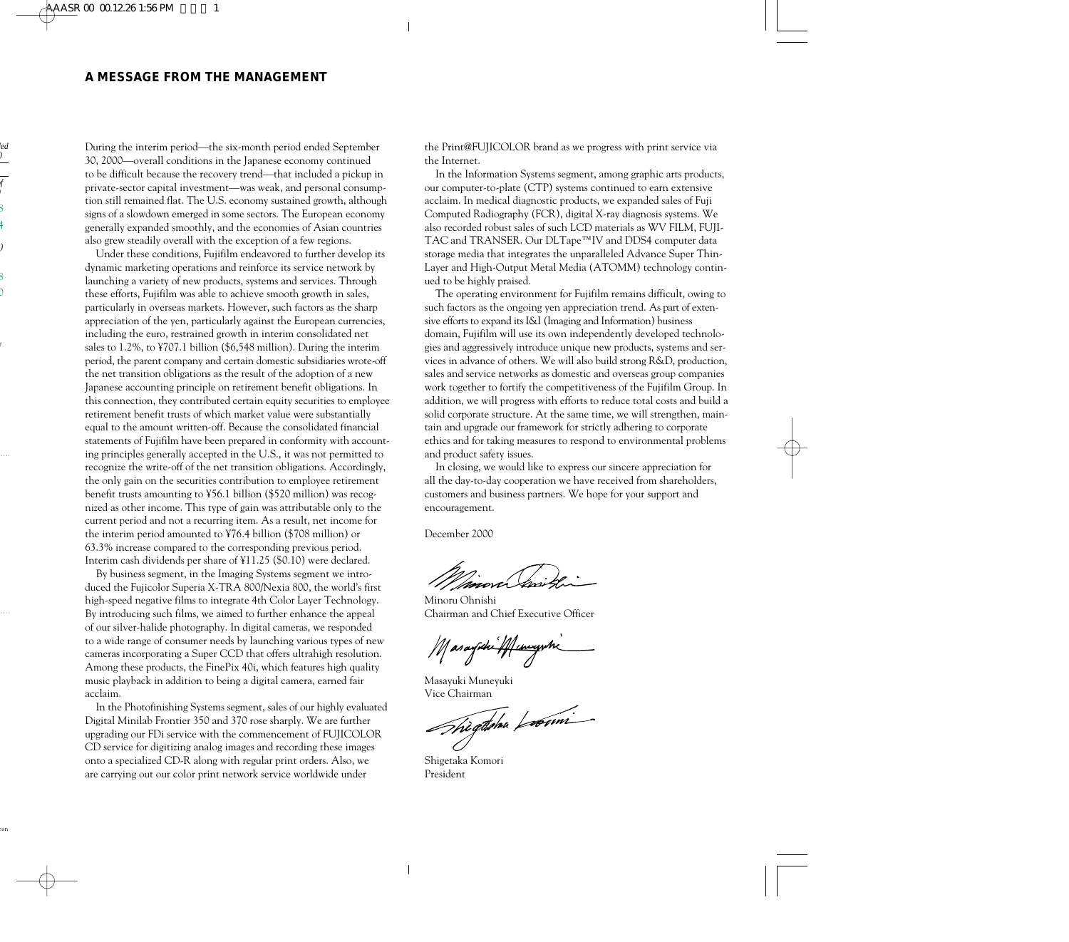During the interim period—the six-month period ended September 30, 2000—overall conditions in the Japanese economy continued to be difficult because the recovery trend—that included a pickup in private-sector capital investment—was weak, and personal consumption still remained flat. The U.S. economy sustained growth, although signs of a slowdown emerged in some sectors. The European economy generally expanded smoothly, and the economies of Asian countries also grew steadily overall with the exception of a few regions.

Under these conditions, Fujifilm endeavored to further develop its dynamic marketing operations and reinforce its service network by launching a variety of new products, systems and services. Through these efforts, Fujifilm was able to achieve smooth growth in sales, particularly in overseas markets. However, such factors as the sharp appreciation of the yen, particularly against the European currencies, including the euro, restrained growth in interim consolidated net sales to 1.2%, to ¥707.1 billion (\$6,548 million). During the interim period, the parent company and certain domestic subsidiaries wrote-off the net transition obligations as the result of the adoption of a new Japanese accounting principle on retirement benefit obligations. In this connection, they contributed certain equity securities to employee retirement benefit trusts of which market value were substantially equal to the amount written-off. Because the consolidated financial statements of Fujifilm have been prepared in conformity with accounting principles generally accepted in the U.S., it was not permitted to recognize the write-off of the net transition obligations. Accordingly, the only gain on the securities contribution to employee retirement benefit trusts amounting to ¥56.1 billion (\$520 million) was recognized as other income. This type of gain was attributable only to the current period and not a recurring item. As a result, net income for the interim period amounted to ¥76.4 billion (\$708 million) or 63.3% increase compared to the corresponding previous period. Interim cash dividends per share of ¥11.25 (\$0.10) were declared.

By business segment, in the Imaging Systems segment we introduced the Fujicolor Superia X-TRA 800/Nexia 800, the world's first high-speed negative films to integrate 4th Color Layer Technology. By introducing such films, we aimed to further enhance the appeal of our silver-halide photography. In digital cameras, we responded to a wide range of consumer needs by launching various types of new cameras incorporating a Super CCD that offers ultrahigh resolution. Among these products, the FinePix 40i, which features high quality music playback in addition to being a digital camera, earned fair acclaim.

In the Photofinishing Systems segment, sales of our highly evaluated Digital Minilab Frontier 350 and 370 rose sharply. We are further upgrading our FDi service with the commencement of FUJICOLOR CD service for digitizing analog images and recording these images onto a specialized CD-R along with regular print orders. Also, we are carrying out our color print network service worldwide under

the Print@FUJICOLOR brand as we progress with print service via the Internet.

In the Information Systems segment, among graphic arts products, our computer-to-plate (CTP) systems continued to earn extensive acclaim. In medical diagnostic products, we expanded sales of Fuji Computed Radiography (FCR), digital X-ray diagnosis systems. We also recorded robust sales of such LCD materials as WV FILM, FUJI-TAC and TRANSER. Our DLTape™IV and DDS4 computer data storage media that integrates the unparalleled Advance Super Thin-Layer and High-Output Metal Media (ATOMM) technology continued to be highly praised.

The operating environment for Fujifilm remains difficult, owing to such factors as the ongoing yen appreciation trend. As part of extensive efforts to expand its I&I (Imaging and Information) business domain, Fujifilm will use its own independently developed technologies and aggressively introduce unique new products, systems and services in advance of others. We will also build strong R&D, production, sales and service networks as domestic and overseas group companies work together to fortify the competitiveness of the Fujifilm Group. In addition, we will progress with efforts to reduce total costs and build a solid corporate structure. At the same time, we will strengthen, maintain and upgrade our framework for strictly adhering to corporate ethics and for taking measures to respond to environmental problems and product safety issues.

In closing, we would like to express our sincere appreciation for all the day-to-day cooperation we have received from shareholders, customers and business partners. We hope for your support and encouragement.

December 2000

Minoru Ohnishi Chairman and Chief Executive Officer

Masayiki 44 uniyihi

Masayuki Muneyuki

Vice Chairman<br>Thì gànha Luainn

Shigetaka Komori President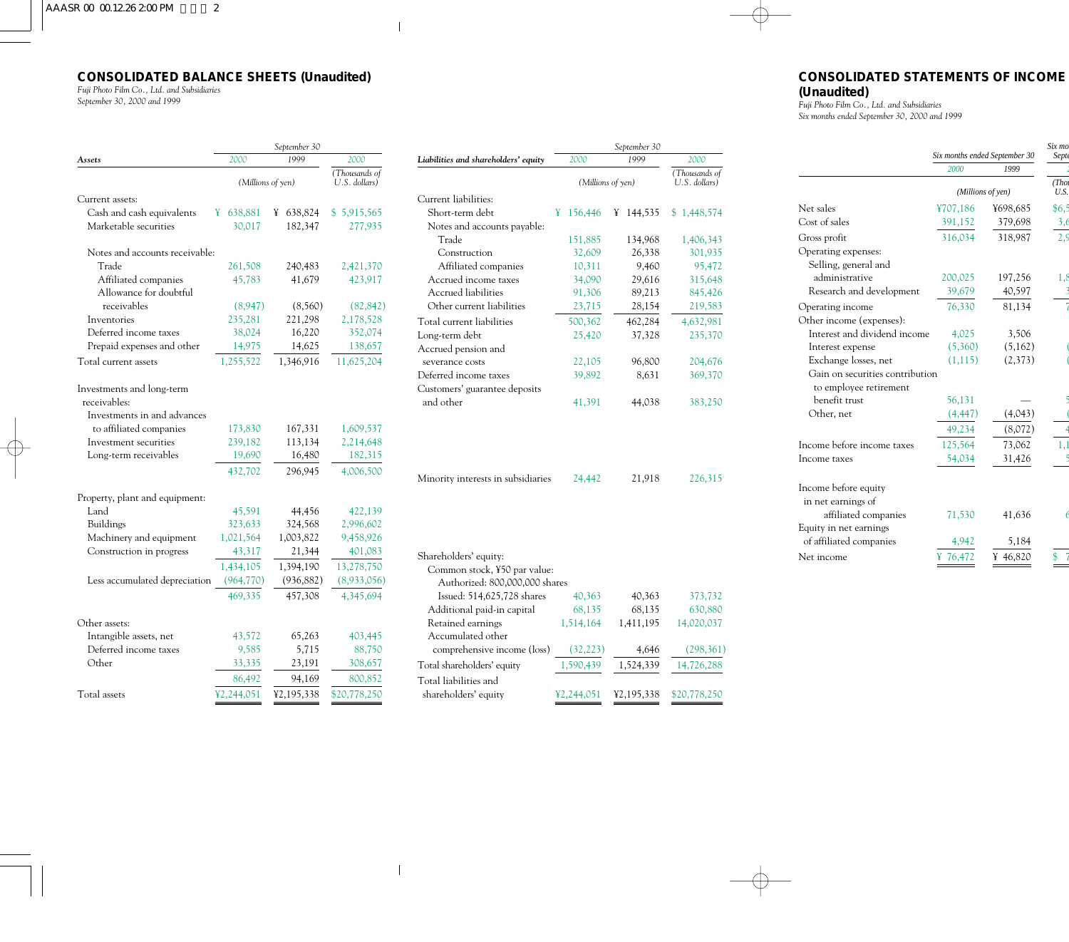# **CONSOLIDATED BALANCE SHEETS (Unaudited)**

*Fuji Photo Film Co., Ltd. and Subsidiaries September 30, 2000 and 1999*

|                                           | September 30      |                   |                                |
|-------------------------------------------|-------------------|-------------------|--------------------------------|
| Assets                                    | 2000              | 1999              | 2000                           |
|                                           | (Millions of yen) |                   | (Thousands of<br>U.S. dollars) |
| Current assets:                           |                   |                   |                                |
| Cash and cash equivalents                 | 638,881<br>¥      | 638,824<br>¥      | \$5,915,565                    |
| Marketable securities                     | 30,017            | 182,347           | 277,935                        |
| Notes and accounts receivable:            |                   |                   |                                |
| Trade                                     | 261,508           | 240,483           | 2,421,370                      |
| Affiliated companies                      | 45,783            | 41,679            | 423,917                        |
| Allowance for doubtful                    |                   |                   |                                |
| receivables                               | (8,947)           | (8,560)           | (82, 842)                      |
| Inventories                               | 235,281           | 221,298           | 2,178,528                      |
| Deferred income taxes                     | 38,024            | 16,220            | 352,074                        |
| Prepaid expenses and other                | 14,975            | 14,625            | 138,657                        |
| Total current assets                      | 1,255,522         | 1,346,916         | 11,625,204                     |
| Investments and long-term<br>receivables: |                   |                   |                                |
| Investments in and advances               |                   |                   |                                |
| to affiliated companies                   | 173,830           | 167,331           | 1,609,537                      |
| Investment securities                     | 239,182           | 113,134           | 2,214,648                      |
| Long-term receivables                     | 19,690<br>432,702 | 16,480<br>296,945 | 182,315<br>4,006,500           |
|                                           |                   |                   |                                |
| Property, plant and equipment:            |                   |                   |                                |
| Land                                      | 45,591            | 44,456            | 422,139                        |
| Buildings                                 | 323,633           | 324,568           | 2,996,602                      |
| Machinery and equipment                   | 1,021,564         | 1,003,822         | 9,458,926                      |
| Construction in progress                  | 43,317            | 21,344            | 401,083                        |
|                                           | 1,434,105         | 1,394,190         | 13,278,750                     |
| Less accumulated depreciation             | (964, 770)        | (936, 882)        | (8,933,056)                    |
|                                           | 469,335           | 457,308           | 4,345,694                      |
| Other assets:                             |                   |                   |                                |
| Intangible assets, net                    | 43,572            | 65,263            | 403,445                        |
| Deferred income taxes                     | 9,585             | 5,715             | 88,750                         |
| Other                                     | 33,335            | 23,191            | 308,657                        |
|                                           | 86,492            | 94,169            | 800,852                        |
| Total assets                              | ¥2,244,051        | ¥2,195,338        | \$20,778,250                   |

|                                                                                                                       | September 30      |              |                                |
|-----------------------------------------------------------------------------------------------------------------------|-------------------|--------------|--------------------------------|
| Liabilities and shareholders' equity                                                                                  | 2000              | 1999         | 2000                           |
|                                                                                                                       | (Millions of yen) |              | (Thousands of<br>U.S. dollars) |
| Current liabilities:                                                                                                  |                   |              |                                |
| Short-term debt                                                                                                       | ¥<br>156,446      | 144,535<br>¥ | \$1,448,574                    |
| Notes and accounts payable:                                                                                           |                   |              |                                |
| Trade                                                                                                                 | 151,885           | 134,968      | 1,406,343                      |
| Construction                                                                                                          | 32,609            | 26,338       | 301,935                        |
| Affiliated companies                                                                                                  | 10,311            | 9,460        | 95,472                         |
| Accrued income taxes                                                                                                  | 34,090            | 29,616       | 315,648                        |
| Accrued liabilities                                                                                                   | 91,306            | 89,213       | 845,426                        |
| Other current liabilities                                                                                             | 23,715            | 28,154       | 219,583                        |
| Total current liabilities                                                                                             | 500,362           | 462,284      | 4,632,981                      |
| Long-term debt                                                                                                        | 25,420            | 37,328       | 235,370                        |
| Accrued pension and                                                                                                   |                   |              |                                |
| severance costs                                                                                                       | 22,105            | 96,800       | 204,676                        |
| Deferred income taxes                                                                                                 | 39,892            | 8,631        | 369,370                        |
| Customers' guarantee deposits                                                                                         |                   |              |                                |
| and other                                                                                                             | 41,391            | 44,038       | 383,250                        |
| Minority interests in subsidiaries                                                                                    | 24,442            | 21,918       | 226,315                        |
| Shareholders' equity:<br>Common stock, ¥50 par value:<br>Authorized: 800,000,000 shares<br>Issued: 514,625,728 shares | 40,363            | 40,363       | 373,732                        |
| Additional paid-in capital                                                                                            | 68,135            | 68,135       | 630,880                        |
| Retained earnings                                                                                                     | 1,514,164         | 1,411,195    | 14,020,037                     |
| Accumulated other                                                                                                     |                   |              |                                |
| comprehensive income (loss)                                                                                           | (32, 223)         | 4,646        | (298,361)                      |
| Total shareholders' equity                                                                                            | 1,590,439         | 1,524,339    | 14,726,288                     |
| Total liabilities and                                                                                                 |                   |              |                                |

shareholders' equity ¥2,244,051 ¥2,195,338 \$20,778,250